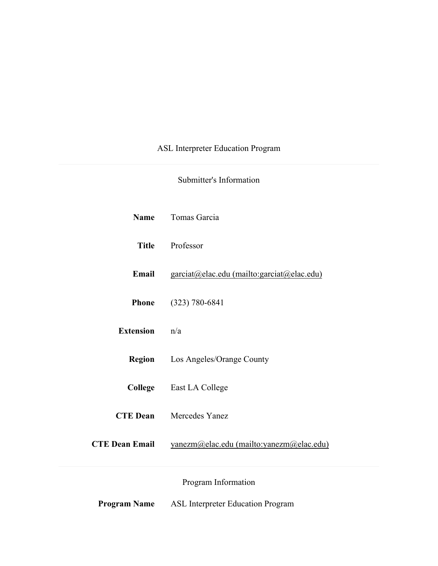# ASL Interpreter Education Program

# Submitter's Information

| <b>Name</b>           | Tomas Garcia                               |
|-----------------------|--------------------------------------------|
|                       | Title Professor                            |
| Email                 | garciat@elac.edu (mailto:garciat@elac.edu) |
| <b>Phone</b>          | $(323) 780 - 6841$                         |
| <b>Extension</b>      | n/a                                        |
| Region                | Los Angeles/Orange County                  |
| College               | East LA College                            |
| <b>CTE Dean</b>       | Mercedes Yanez                             |
| <b>CTE Dean Email</b> | yanezm@elac.edu (mailto:yanezm@elac.edu)   |
|                       | Program Information                        |

**Program Name** ASL Interpreter Education Program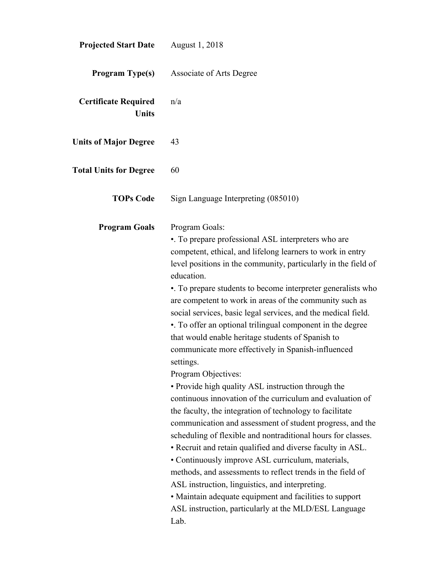| <b>Projected Start Date</b>                 | August 1, 2018                                                                                                                                                                                                                                                                                                                                                                                                                                                                                                                                                                                                                                                                                                                                                                                                                                                                                                                                                                                                                                                                                                                                                                                                                                                                                           |
|---------------------------------------------|----------------------------------------------------------------------------------------------------------------------------------------------------------------------------------------------------------------------------------------------------------------------------------------------------------------------------------------------------------------------------------------------------------------------------------------------------------------------------------------------------------------------------------------------------------------------------------------------------------------------------------------------------------------------------------------------------------------------------------------------------------------------------------------------------------------------------------------------------------------------------------------------------------------------------------------------------------------------------------------------------------------------------------------------------------------------------------------------------------------------------------------------------------------------------------------------------------------------------------------------------------------------------------------------------------|
| <b>Program Type(s)</b>                      | Associate of Arts Degree                                                                                                                                                                                                                                                                                                                                                                                                                                                                                                                                                                                                                                                                                                                                                                                                                                                                                                                                                                                                                                                                                                                                                                                                                                                                                 |
| <b>Certificate Required</b><br><b>Units</b> | n/a                                                                                                                                                                                                                                                                                                                                                                                                                                                                                                                                                                                                                                                                                                                                                                                                                                                                                                                                                                                                                                                                                                                                                                                                                                                                                                      |
| <b>Units of Major Degree</b>                | 43                                                                                                                                                                                                                                                                                                                                                                                                                                                                                                                                                                                                                                                                                                                                                                                                                                                                                                                                                                                                                                                                                                                                                                                                                                                                                                       |
| <b>Total Units for Degree</b>               | 60                                                                                                                                                                                                                                                                                                                                                                                                                                                                                                                                                                                                                                                                                                                                                                                                                                                                                                                                                                                                                                                                                                                                                                                                                                                                                                       |
| <b>TOPs Code</b>                            | Sign Language Interpreting (085010)                                                                                                                                                                                                                                                                                                                                                                                                                                                                                                                                                                                                                                                                                                                                                                                                                                                                                                                                                                                                                                                                                                                                                                                                                                                                      |
| <b>Program Goals</b>                        | Program Goals:<br>•. To prepare professional ASL interpreters who are<br>competent, ethical, and lifelong learners to work in entry<br>level positions in the community, particularly in the field of<br>education.<br>•. To prepare students to become interpreter generalists who<br>are competent to work in areas of the community such as<br>social services, basic legal services, and the medical field.<br>•. To offer an optional trilingual component in the degree<br>that would enable heritage students of Spanish to<br>communicate more effectively in Spanish-influenced<br>settings.<br>Program Objectives:<br>• Provide high quality ASL instruction through the<br>continuous innovation of the curriculum and evaluation of<br>the faculty, the integration of technology to facilitate<br>communication and assessment of student progress, and the<br>scheduling of flexible and nontraditional hours for classes.<br>• Recruit and retain qualified and diverse faculty in ASL.<br>• Continuously improve ASL curriculum, materials,<br>methods, and assessments to reflect trends in the field of<br>ASL instruction, linguistics, and interpreting.<br>• Maintain adequate equipment and facilities to support<br>ASL instruction, particularly at the MLD/ESL Language<br>Lab. |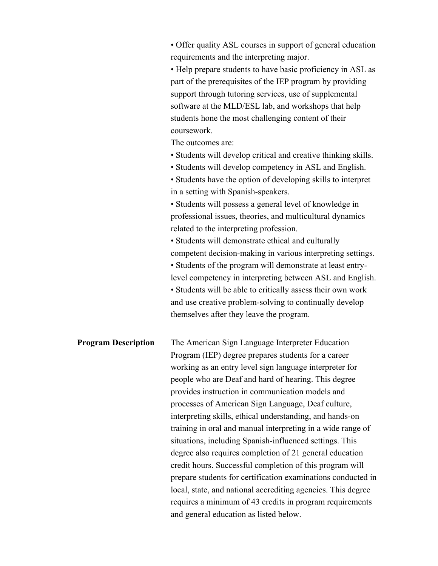• Offer quality ASL courses in support of general education requirements and the interpreting major.

• Help prepare students to have basic proficiency in ASL as part of the prerequisites of the IEP program by providing support through tutoring services, use of supplemental software at the MLD/ESL lab, and workshops that help students hone the most challenging content of their coursework.

The outcomes are:

- Students will develop critical and creative thinking skills.
- Students will develop competency in ASL and English.

• Students have the option of developing skills to interpret in a setting with Spanish-speakers.

• Students will possess a general level of knowledge in professional issues, theories, and multicultural dynamics related to the interpreting profession.

• Students will demonstrate ethical and culturally competent decision-making in various interpreting settings. • Students of the program will demonstrate at least entry-

level competency in interpreting between ASL and English. • Students will be able to critically assess their own work and use creative problem-solving to continually develop themselves after they leave the program.

**Program Description** The American Sign Language Interpreter Education Program (IEP) degree prepares students for a career working as an entry level sign language interpreter for people who are Deaf and hard of hearing. This degree provides instruction in communication models and processes of American Sign Language, Deaf culture, interpreting skills, ethical understanding, and hands-on training in oral and manual interpreting in a wide range of situations, including Spanish-influenced settings. This degree also requires completion of 21 general education credit hours. Successful completion of this program will prepare students for certification examinations conducted in local, state, and national accrediting agencies. This degree requires a minimum of 43 credits in program requirements and general education as listed below.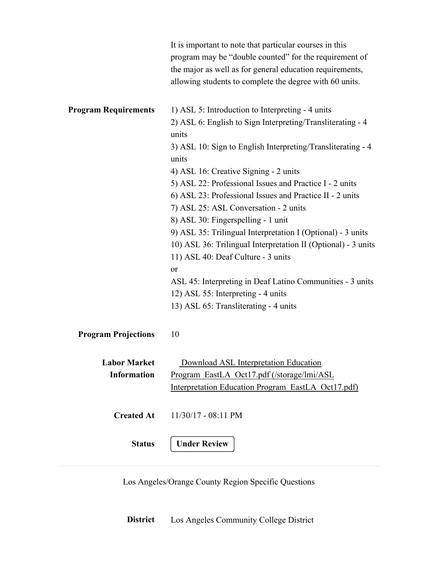|                             | It is important to note that particular courses in this              |  |  |  |
|-----------------------------|----------------------------------------------------------------------|--|--|--|
|                             | program may be "double counted" for the requirement of               |  |  |  |
|                             | the major as well as for general education requirements,             |  |  |  |
|                             | allowing students to complete the degree with 60 units.              |  |  |  |
|                             |                                                                      |  |  |  |
| <b>Program Requirements</b> | 1) ASL 5: Introduction to Interpreting - 4 units                     |  |  |  |
|                             | 2) ASL 6: English to Sign Interpreting/Transliterating - 4<br>units  |  |  |  |
|                             | 3) ASL 10: Sign to English Interpreting/Transliterating - 4<br>units |  |  |  |
|                             | 4) ASL 16: Creative Signing - 2 units                                |  |  |  |
|                             | 5) ASL 22: Professional Issues and Practice I - 2 units              |  |  |  |
|                             | 6) ASL 23: Professional Issues and Practice II - 2 units             |  |  |  |
|                             | 7) ASL 25: ASL Conversation - 2 units                                |  |  |  |
|                             | 8) ASL 30: Fingerspelling - 1 unit                                   |  |  |  |
|                             | 9) ASL 35: Trilingual Interpretation I (Optional) - 3 units          |  |  |  |
|                             | 10) ASL 36: Trilingual Interpretation II (Optional) - 3 units        |  |  |  |
|                             | 11) ASL 40: Deaf Culture - 3 units                                   |  |  |  |
|                             | or                                                                   |  |  |  |
|                             | ASL 45: Interpreting in Deaf Latino Communities - 3 units            |  |  |  |
|                             | 12) ASL 55: Interpreting - 4 units                                   |  |  |  |
|                             | 13) ASL 65: Transliterating - 4 units                                |  |  |  |
| <b>Program Projections</b>  | 10                                                                   |  |  |  |
| <b>Labor Market</b>         | Download ASL Interpretation Education                                |  |  |  |
| <b>Information</b>          | Program EastLA Oct17.pdf (/storage/lmi/ASL                           |  |  |  |
|                             | Interpretation Education Program EastLA Oct17.pdf)                   |  |  |  |
| <b>Created At</b>           | $11/30/17 - 08:11 \text{ PM}$                                        |  |  |  |
| <b>Status</b>               | <b>Under Review</b>                                                  |  |  |  |
|                             |                                                                      |  |  |  |

Los Angeles/Orange County Region Specific Questions

**District** Los Angeles Community College District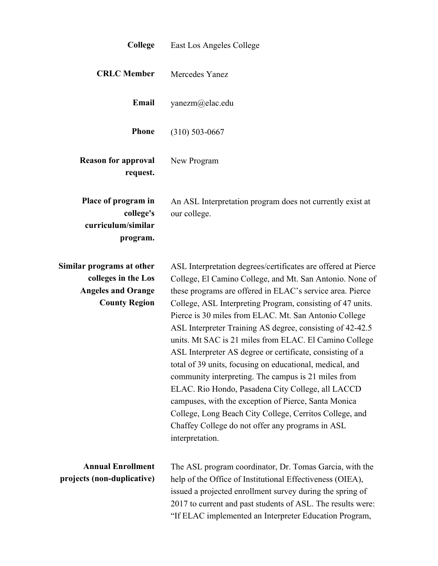| College                                                                                               | East Los Angeles College                                                                                                                                                                                                                                                                                                                                                                                                                                                                                                                                                                                                                                                                                                                                                                                                                                            |
|-------------------------------------------------------------------------------------------------------|---------------------------------------------------------------------------------------------------------------------------------------------------------------------------------------------------------------------------------------------------------------------------------------------------------------------------------------------------------------------------------------------------------------------------------------------------------------------------------------------------------------------------------------------------------------------------------------------------------------------------------------------------------------------------------------------------------------------------------------------------------------------------------------------------------------------------------------------------------------------|
| <b>CRLC</b> Member                                                                                    | Mercedes Yanez                                                                                                                                                                                                                                                                                                                                                                                                                                                                                                                                                                                                                                                                                                                                                                                                                                                      |
| Email                                                                                                 | yanezm@elac.edu                                                                                                                                                                                                                                                                                                                                                                                                                                                                                                                                                                                                                                                                                                                                                                                                                                                     |
| <b>Phone</b>                                                                                          | $(310) 503 - 0667$                                                                                                                                                                                                                                                                                                                                                                                                                                                                                                                                                                                                                                                                                                                                                                                                                                                  |
| <b>Reason for approval</b><br>request.                                                                | New Program                                                                                                                                                                                                                                                                                                                                                                                                                                                                                                                                                                                                                                                                                                                                                                                                                                                         |
| Place of program in<br>college's<br>curriculum/similar<br>program.                                    | An ASL Interpretation program does not currently exist at<br>our college.                                                                                                                                                                                                                                                                                                                                                                                                                                                                                                                                                                                                                                                                                                                                                                                           |
| Similar programs at other<br>colleges in the Los<br><b>Angeles and Orange</b><br><b>County Region</b> | ASL Interpretation degrees/certificates are offered at Pierce<br>College, El Camino College, and Mt. San Antonio. None of<br>these programs are offered in ELAC's service area. Pierce<br>College, ASL Interpreting Program, consisting of 47 units.<br>Pierce is 30 miles from ELAC. Mt. San Antonio College<br>ASL Interpreter Training AS degree, consisting of 42-42.5<br>units. Mt SAC is 21 miles from ELAC. El Camino College<br>ASL Interpreter AS degree or certificate, consisting of a<br>total of 39 units, focusing on educational, medical, and<br>community interpreting. The campus is 21 miles from<br>ELAC. Rio Hondo, Pasadena City College, all LACCD<br>campuses, with the exception of Pierce, Santa Monica<br>College, Long Beach City College, Cerritos College, and<br>Chaffey College do not offer any programs in ASL<br>interpretation. |
| <b>Annual Enrollment</b><br>projects (non-duplicative)                                                | The ASL program coordinator, Dr. Tomas Garcia, with the<br>help of the Office of Institutional Effectiveness (OIEA),<br>issued a projected enrollment survey during the spring of<br>2017 to current and past students of ASL. The results were:<br>"If ELAC implemented an Interpreter Education Program,                                                                                                                                                                                                                                                                                                                                                                                                                                                                                                                                                          |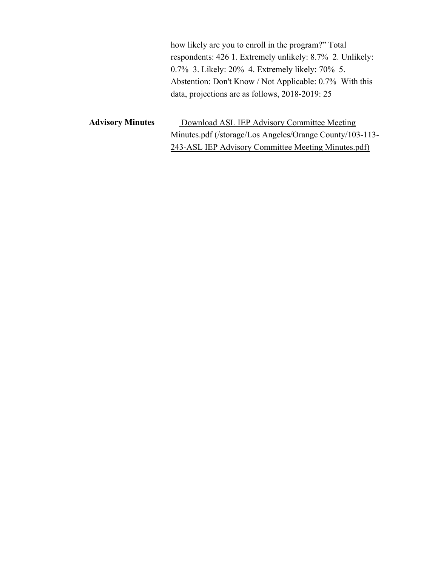how likely are you to enroll in the program?" Total respondents: 426 1. Extremely unlikely: 8.7% 2. Unlikely: 0.7% 3. Likely: 20% 4. Extremely likely: 70% 5. Abstention: Don't Know / Not Applicable: 0.7% With this data, projections are as follows, 2018-2019: 25

| <b>Advisory Minutes</b>                                  | Download ASL IEP Advisory Committee Meeting         |  |  |  |
|----------------------------------------------------------|-----------------------------------------------------|--|--|--|
| Minutes.pdf (/storage/Los Angeles/Orange County/103-113- |                                                     |  |  |  |
|                                                          | 243-ASL IEP Advisory Committee Meeting Minutes.pdf) |  |  |  |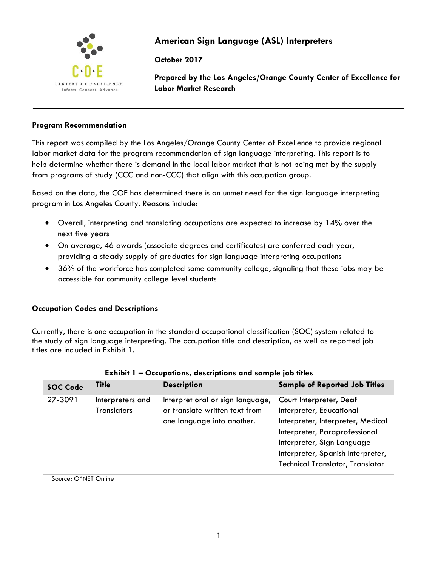

# **American Sign Language (ASL) Interpreters**

**October 2017**

**Prepared by the Los Angeles/Orange County Center of Excellence for Labor Market Research**

#### **Program Recommendation**

This report was compiled by the Los Angeles/Orange County Center of Excellence to provide regional labor market data for the program recommendation of sign language interpreting. This report is to help determine whether there is demand in the local labor market that is not being met by the supply from programs of study (CCC and non-CCC) that align with this occupation group.

Based on the data, the COE has determined there is an unmet need for the sign language interpreting program in Los Angeles County. Reasons include:

- Overall, interpreting and translating occupations are expected to increase by 14% over the next five years
- On average, 46 awards (associate degrees and certificates) are conferred each year, providing a steady supply of graduates for sign language interpreting occupations
- 36% of the workforce has completed some community college, signaling that these jobs may be accessible for community college level students

# **Occupation Codes and Descriptions**

Currently, there is one occupation in the standard occupational classification (SOC) system related to the study of sign language interpreting. The occupation title and description, as well as reported job titles are included in Exhibit 1.

| <u>waspwillerly woodliptionid with owllipto two illiou</u> |                                        |                                                                                                  |                                                                                                                                                                                                                                         |  |
|------------------------------------------------------------|----------------------------------------|--------------------------------------------------------------------------------------------------|-----------------------------------------------------------------------------------------------------------------------------------------------------------------------------------------------------------------------------------------|--|
| <b>SOC Code</b>                                            | Title                                  | <b>Description</b>                                                                               | <b>Sample of Reported Job Titles</b>                                                                                                                                                                                                    |  |
| 27-3091                                                    | Interpreters and<br><b>Translators</b> | Interpret oral or sign language,<br>or translate written text from<br>one language into another. | Court Interpreter, Deaf<br>Interpreter, Educational<br>Interpreter, Interpreter, Medical<br>Interpreter, Paraprofessional<br>Interpreter, Sign Language<br>Interpreter, Spanish Interpreter,<br><b>Technical Translator, Translator</b> |  |

#### **Exhibit 1 – Occupations, descriptions and sample job titles**

Source: O\*NET Online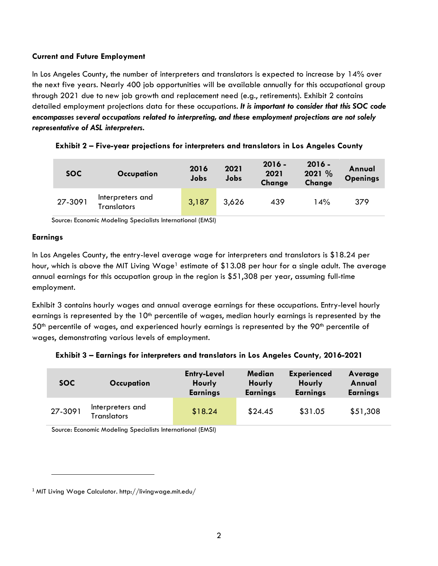#### **Current and Future Employment**

In Los Angeles County, the number of interpreters and translators is expected to increase by 14% over the next five years. Nearly 400 job opportunities will be available annually for this occupational group through 2021 due to new job growth and replacement need (e.g., retirements). Exhibit 2 contains detailed employment projections data for these occupations. *It is important to consider that this SOC code encompasses several occupations related to interpreting, and these employment projections are not solely representative of ASL interpreters.*

| <b>SOC</b> | Occupation                             | 2016<br>Jobs | 2021<br>Jobs | $2016 -$<br>2021<br>Change | $2016 -$<br>2021 %<br>Change | Annual<br><b>Openings</b> |
|------------|----------------------------------------|--------------|--------------|----------------------------|------------------------------|---------------------------|
| 27-3091    | Interpreters and<br><b>Translators</b> | 3,187        | 3,626        | 439                        | 14%                          | 379                       |

**Exhibit 2 – Five-year projections for interpreters and translators in Los Angeles County**

Source: Economic Modeling Specialists International (EMSI)

#### **Earnings**

 $\overline{\phantom{a}}$ 

In Los Angeles County, the entry-level average wage for interpreters and translators is \$18.24 per hour, which is above the MIT Living Wage<sup>1</sup> estimate of \$13.08 per hour for a single adult. The average annual earnings for this occupation group in the region is \$51,308 per year, assuming full-time employment.

Exhibit 3 contains hourly wages and annual average earnings for these occupations. Entry-level hourly earnings is represented by the  $10<sup>th</sup>$  percentile of wages, median hourly earnings is represented by the  $50<sup>th</sup>$  percentile of wages, and experienced hourly earnings is represented by the  $90<sup>th</sup>$  percentile of wages, demonstrating various levels of employment.

| Exhibit 3 - Earnings for interpreters and translators in Los Angeles County, 2016-2021 |  |  |  |  |
|----------------------------------------------------------------------------------------|--|--|--|--|
|----------------------------------------------------------------------------------------|--|--|--|--|

| SOC.    | Occupation                             | <b>Entry-Level</b><br><b>Hourly</b><br><b>Earnings</b> | Median<br>Hourly<br><b>Earnings</b> | <b>Experienced</b><br>Hourly<br><b>Earnings</b> | Average<br>Annual<br><b>Earnings</b> |
|---------|----------------------------------------|--------------------------------------------------------|-------------------------------------|-------------------------------------------------|--------------------------------------|
| 27-3091 | Interpreters and<br><b>Translators</b> | \$18.24                                                | \$24.45                             | \$31.05                                         | \$51,308                             |

Source: Economic Modeling Specialists International (EMSI)

<sup>1</sup> MIT Living Wage Calculator. http://livingwage.mit.edu/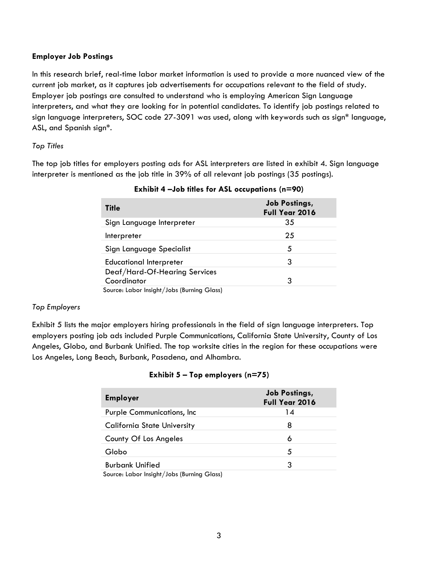#### **Employer Job Postings**

In this research brief, real-time labor market information is used to provide a more nuanced view of the current job market, as it captures job advertisements for occupations relevant to the field of study. Employer job postings are consulted to understand who is employing American Sign Language interpreters, and what they are looking for in potential candidates. To identify job postings related to sign language interpreters, SOC code 27-3091 was used, along with keywords such as sign\* language, ASL, and Spanish sign\*.

#### *Top Titles*

The top job titles for employers posting ads for ASL interpreters are listed in exhibit 4. Sign language interpreter is mentioned as the job title in 39% of all relevant job postings (35 postings).

| Title                                      | <b>Job Postings,</b><br><b>Full Year 2016</b> |
|--------------------------------------------|-----------------------------------------------|
| Sign Language Interpreter                  | 35                                            |
| Interpreter                                | 25                                            |
| Sign Language Specialist                   | 5                                             |
| <b>Educational Interpreter</b>             | 3                                             |
| Deaf/Hard-Of-Hearing Services              |                                               |
| Coordinator                                | 3                                             |
| Source: Labor Insight/Jobs (Burning Glass) |                                               |

| Exhibit 4 -Job titles for ASL occupations (n=90) |  |  |  |
|--------------------------------------------------|--|--|--|
|--------------------------------------------------|--|--|--|

# *Top Employers*

Exhibit 5 lists the major employers hiring professionals in the field of sign language interpreters. Top employers posting job ads included Purple Communications, California State University, County of Los Angeles, Globo, and Burbank Unified. The top worksite cities in the region for these occupations were Los Angeles, Long Beach, Burbank, Pasadena, and Alhambra.

# **Exhibit 5 – Top employers (n=75)**

| <b>Employer</b>                              | <b>Job Postings,</b><br><b>Full Year 2016</b> |
|----------------------------------------------|-----------------------------------------------|
| Purple Communications, Inc.                  | 14                                            |
| <b>California State University</b>           | 8                                             |
| County Of Los Angeles                        | 6                                             |
| Globo                                        | 5                                             |
| <b>Burbank Unified</b>                       | 3                                             |
| Source: Labor Insight / Jobs (Burning Glass) |                                               |

Source: Labor Insight/Jobs (Burning Glass)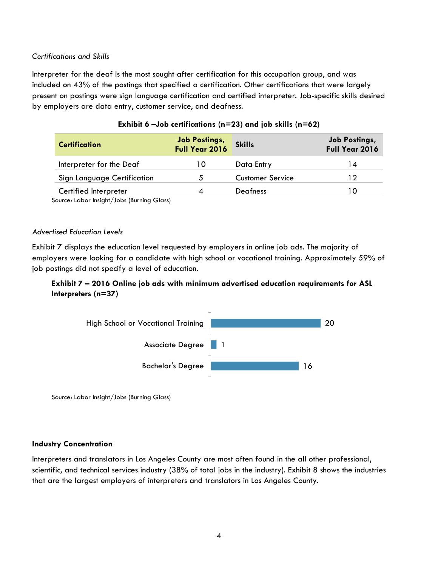#### *Certifications and Skills*

Interpreter for the deaf is the most sought after certification for this occupation group, and was included on 43% of the postings that specified a certification. Other certifications that were largely present on postings were sign language certification and certified interpreter. Job-specific skills desired by employers are data entry, customer service, and deafness.

| <b>Certification</b>        | Job Postings,<br>Full Year 2016 | <b>Skills</b>           | <b>Job Postings,</b><br>Full Year 2016 |
|-----------------------------|---------------------------------|-------------------------|----------------------------------------|
| Interpreter for the Deaf    | 10                              | Data Entry              | 14                                     |
| Sign Language Certification |                                 | <b>Customer Service</b> | 12                                     |
| Certified Interpreter       |                                 | <b>Deafness</b>         | 10                                     |

# **Exhibit 6 –Job certifications (n=23) and job skills (n=62)**

Source: Labor Insight/Jobs (Burning Glass)

#### *Advertised Education Levels*

Exhibit 7 displays the education level requested by employers in online job ads. The majority of employers were looking for a candidate with high school or vocational training. Approximately 59% of job postings did not specify a level of education.

# **Exhibit 7 – 2016 Online job ads with minimum advertised education requirements for ASL Interpreters (n=37)**



Source: Labor Insight/Jobs (Burning Glass)

#### **Industry Concentration**

Interpreters and translators in Los Angeles County are most often found in the all other professional, scientific, and technical services industry (38% of total jobs in the industry). Exhibit 8 shows the industries that are the largest employers of interpreters and translators in Los Angeles County.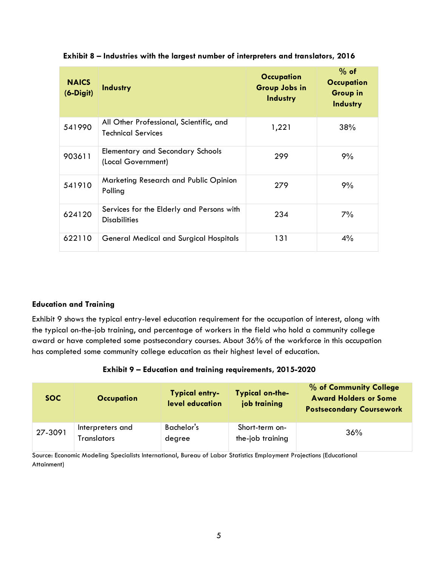| <b>NAICS</b><br>$(6-Digit)$ | <b>Industry</b>                                                      | <b>Occupation</b><br><b>Group Jobs in</b><br><b>Industry</b> | $%$ of<br><b>Occupation</b><br><b>Group in</b><br><b>Industry</b> |
|-----------------------------|----------------------------------------------------------------------|--------------------------------------------------------------|-------------------------------------------------------------------|
| 541990                      | All Other Professional, Scientific, and<br><b>Technical Services</b> | 1,221                                                        | 38%                                                               |
| 903611                      | <b>Elementary and Secondary Schools</b><br>(Local Government)        | 299                                                          | 9%                                                                |
| 541910                      | Marketing Research and Public Opinion<br>Polling                     | 279                                                          | 9%                                                                |
| 624120                      | Services for the Elderly and Persons with<br><b>Disabilities</b>     | 234                                                          | 7%                                                                |
| 622110                      | <b>General Medical and Surgical Hospitals</b>                        | 131                                                          | 4%                                                                |

**Exhibit 8 – Industries with the largest number of interpreters and translators, 2016**

# **Education and Training**

Exhibit 9 shows the typical entry-level education requirement for the occupation of interest, along with the typical on-the-job training, and percentage of workers in the field who hold a community college award or have completed some postsecondary courses. About 36% of the workforce in this occupation has completed some community college education as their highest level of education.

| <b>Exhibit 9 - Education and training requirements, 2015-2020</b> |  |  |  |
|-------------------------------------------------------------------|--|--|--|
|-------------------------------------------------------------------|--|--|--|

| SOC.    | <b>Occupation</b>                      | <b>Typical entry-</b><br>level education | <b>Typical on-the-</b><br>job training | % of Community College<br><b>Award Holders or Some</b><br><b>Postsecondary Coursework</b> |
|---------|----------------------------------------|------------------------------------------|----------------------------------------|-------------------------------------------------------------------------------------------|
| 27-3091 | Interpreters and<br><b>Translators</b> | <b>Bachelor's</b><br>degree              | Short-term on-<br>the-job training     | 36%                                                                                       |

Source: Economic Modeling Specialists International, Bureau of Labor Statistics Employment Projections (Educational Attainment)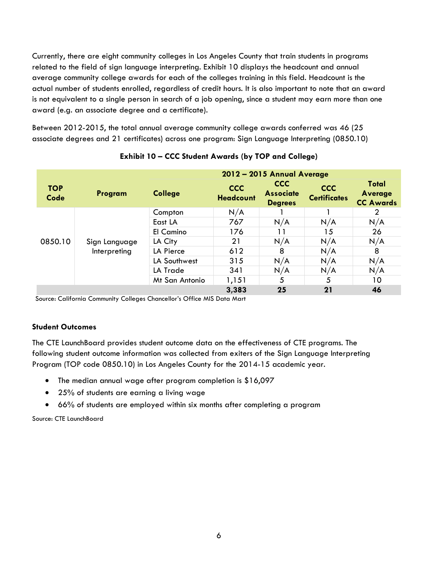Currently, there are eight community colleges in Los Angeles County that train students in programs related to the field of sign language interpreting. Exhibit 10 displays the headcount and annual average community college awards for each of the colleges training in this field. Headcount is the actual number of students enrolled, regardless of credit hours. It is also important to note that an award is not equivalent to a single person in search of a job opening, since a student may earn more than one award (e.g. an associate degree and a certificate).

Between 2012-2015, the total annual average community college awards conferred was 46 (25 associate degrees and 21 certificates) across one program: Sign Language Interpreting (0850.10)

|                                          | 2012 - 2015 Annual Average |                |                                |                                                  |                                   |                                      |
|------------------------------------------|----------------------------|----------------|--------------------------------|--------------------------------------------------|-----------------------------------|--------------------------------------|
| <b>TOP</b><br>Code                       | Program                    | <b>College</b> | <b>CCC</b><br><b>Headcount</b> | <b>CCC</b><br><b>Associate</b><br><b>Degrees</b> | <b>CCC</b><br><b>Certificates</b> | Total<br>Average<br><b>CC Awards</b> |
|                                          |                            | Compton        | N/A                            |                                                  |                                   | 2                                    |
| 0850.10<br>Sign Language<br>Interpreting | East LA                    | 767            | N/A                            | N/A                                              | N/A                               |                                      |
|                                          |                            | El Camino      | 176                            | 11                                               | 15                                | 26                                   |
|                                          |                            | LA City        | 21                             | N/A                                              | N/A                               | N/A                                  |
|                                          |                            | LA Pierce      | 612                            | 8                                                | N/A                               | 8                                    |
|                                          |                            | LA Southwest   | 315                            | N/A                                              | N/A                               | N/A                                  |
|                                          |                            | LA Trade       | 341                            | N/A                                              | N/A                               | N/A                                  |
|                                          |                            | Mt San Antonio | 1,151                          | 5                                                | 5                                 | 10                                   |
|                                          |                            |                | 3,383                          | 25                                               | 21                                | 46                                   |

# **Exhibit 10 – CCC Student Awards (by TOP and College)**

Source: California Community Colleges Chancellor's Office MIS Data Mart

# **Student Outcomes**

The CTE LaunchBoard provides student outcome data on the effectiveness of CTE programs. The following student outcome information was collected from exiters of the Sign Language Interpreting Program (TOP code 0850.10) in Los Angeles County for the 2014-15 academic year.

- The median annual wage after program completion is \$16,097
- 25% of students are earning a living wage
- 66% of students are employed within six months after completing a program

Source: CTE LaunchBoard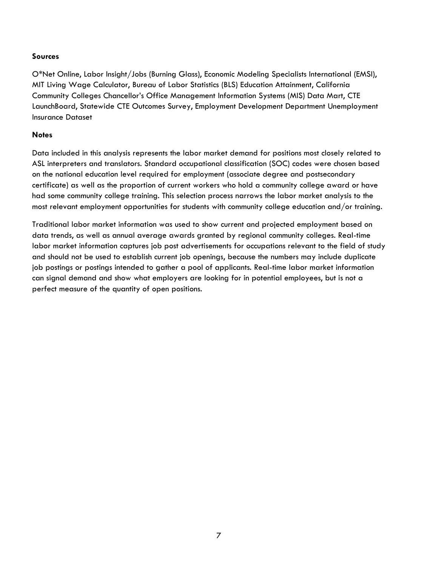#### **Sources**

O\*Net Online, Labor Insight/Jobs (Burning Glass), Economic Modeling Specialists International (EMSI), MIT Living Wage Calculator, Bureau of Labor Statistics (BLS) Education Attainment, California Community Colleges Chancellor's Office Management Information Systems (MIS) Data Mart, CTE LaunchBoard, Statewide CTE Outcomes Survey, Employment Development Department Unemployment Insurance Dataset

#### **Notes**

Data included in this analysis represents the labor market demand for positions most closely related to ASL interpreters and translators. Standard occupational classification (SOC) codes were chosen based on the national education level required for employment (associate degree and postsecondary certificate) as well as the proportion of current workers who hold a community college award or have had some community college training. This selection process narrows the labor market analysis to the most relevant employment opportunities for students with community college education and/or training.

Traditional labor market information was used to show current and projected employment based on data trends, as well as annual average awards granted by regional community colleges. Real-time labor market information captures job post advertisements for occupations relevant to the field of study and should not be used to establish current job openings, because the numbers may include duplicate job postings or postings intended to gather a pool of applicants. Real-time labor market information can signal demand and show what employers are looking for in potential employees, but is not a perfect measure of the quantity of open positions.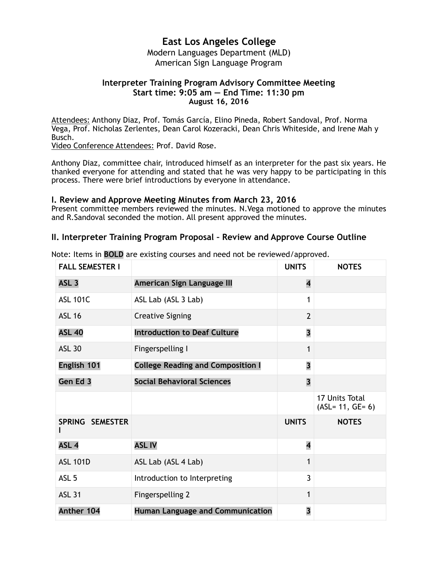# **East Los Angeles College**

Modern Languages Department (MLD) American Sign Language Program

## **Interpreter Training Program Advisory Committee Meeting Start time: 9:05 am ― End Time: 11:30 pm August 16, 2016**

Attendees: Anthony Diaz, Prof. Tomás García, Elino Pineda, Robert Sandoval, Prof. Norma Vega, Prof. Nicholas Zerlentes, Dean Carol Kozeracki, Dean Chris Whiteside, and Irene Mah y Busch.

Video Conference Attendees: Prof. David Rose.

Anthony Diaz, committee chair, introduced himself as an interpreter for the past six years. He thanked everyone for attending and stated that he was very happy to be participating in this process. There were brief introductions by everyone in attendance.

#### **I. Review and Approve Meeting Minutes from March 23, 2016**

Present committee members reviewed the minutes. N.Vega motioned to approve the minutes and R.Sandoval seconded the motion. All present approved the minutes.

#### **II. Interpreter Training Program Proposal – Review and Approve Course Outline**

| <b>FALL SEMESTER I</b> |                                          | <b>UNITS</b>            | <b>NOTES</b>                           |
|------------------------|------------------------------------------|-------------------------|----------------------------------------|
| ASL <sub>3</sub>       | American Sign Language III               | $\overline{\mathbf{4}}$ |                                        |
| <b>ASL 101C</b>        | ASL Lab (ASL 3 Lab)                      | 1                       |                                        |
| <b>ASL 16</b>          | <b>Creative Signing</b>                  | $\overline{2}$          |                                        |
| <b>ASL 40</b>          | <b>Introduction to Deaf Culture</b>      | $\overline{\mathbf{3}}$ |                                        |
| <b>ASL 30</b>          | Fingerspelling I                         | 1                       |                                        |
| English 101            | <b>College Reading and Composition I</b> | $\overline{\mathbf{3}}$ |                                        |
| Gen Ed 3               | <b>Social Behavioral Sciences</b>        | $\overline{\mathbf{3}}$ |                                        |
|                        |                                          |                         |                                        |
|                        |                                          |                         | 17 Units Total<br>$(ASL = 11, GE = 6)$ |
| SPRING SEMESTER        |                                          | <b>UNITS</b>            | <b>NOTES</b>                           |
| ASL <sub>4</sub>       | <b>ASL IV</b>                            | $\overline{\mathbf{4}}$ |                                        |
| <b>ASL 101D</b>        | ASL Lab (ASL 4 Lab)                      | 1                       |                                        |
| ASL <sub>5</sub>       | Introduction to Interpreting             | 3                       |                                        |
| <b>ASL 31</b>          | Fingerspelling 2                         | 1                       |                                        |

Note: Items in **BOLD** are existing courses and need not be reviewed/approved.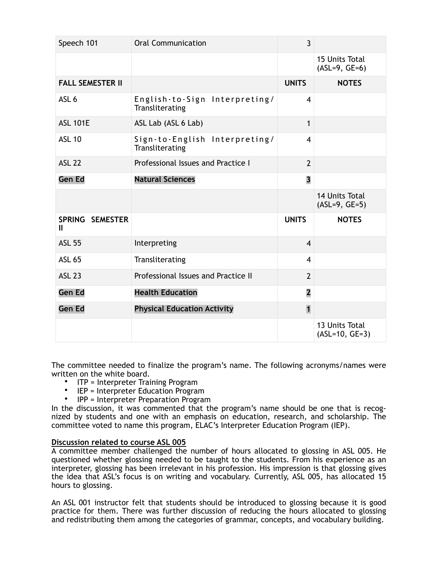| Speech 101                      | <b>Oral Communication</b>                        | $\overline{3}$          |                                   |
|---------------------------------|--------------------------------------------------|-------------------------|-----------------------------------|
|                                 |                                                  |                         | 15 Units Total<br>$(ASL=9, GE=6)$ |
| <b>FALL SEMESTER II</b>         |                                                  | <b>UNITS</b>            | <b>NOTES</b>                      |
| ASL <sub>6</sub>                | English-to-Sign Interpreting/<br>Transliterating | $\overline{\mathbf{4}}$ |                                   |
| <b>ASL 101E</b>                 | ASL Lab (ASL 6 Lab)                              | $\mathbf{1}$            |                                   |
| <b>ASL 10</b>                   | Sign-to-English Interpreting/<br>Transliterating | 4                       |                                   |
| <b>ASL 22</b>                   | Professional Issues and Practice I               | $\overline{2}$          |                                   |
| <b>Gen Ed</b>                   | <b>Natural Sciences</b>                          | $\overline{\mathbf{3}}$ |                                   |
|                                 |                                                  |                         | 14 Units Total<br>$(ASL=9, GE=5)$ |
| SPRING SEMESTER<br>$\mathbf{I}$ |                                                  | <b>UNITS</b>            | <b>NOTES</b>                      |
| <b>ASL 55</b>                   | Interpreting                                     | $\overline{4}$          |                                   |
| <b>ASL 65</b>                   | Transliterating                                  | 4                       |                                   |
| <b>ASL 23</b>                   | Professional Issues and Practice II              | $\overline{2}$          |                                   |
| <b>Gen Ed</b>                   | <b>Health Education</b>                          | $\overline{2}$          |                                   |
| <b>Gen Ed</b>                   | <b>Physical Education Activity</b>               | $\overline{\mathbf{1}}$ |                                   |
|                                 |                                                  |                         |                                   |

The committee needed to finalize the program's name. The following acronyms/names were written on the white board.

- ITP = Interpreter Training Program<br>• IEP = Interpreter Education Program
- IEP = Interpreter Education Program<br>• IPP = Interpreter Preparation Program
- IPP = Interpreter Preparation Program

In the discussion, it was commented that the program's name should be one that is recognized by students and one with an emphasis on education, research, and scholarship. The committee voted to name this program, ELAC's Interpreter Education Program (IEP).

#### **Discussion related to course ASL 005**

A committee member challenged the number of hours allocated to glossing in ASL 005. He questioned whether glossing needed to be taught to the students. From his experience as an interpreter, glossing has been irrelevant in his profession. His impression is that glossing gives the idea that ASL's focus is on writing and vocabulary. Currently, ASL 005, has allocated 15 hours to glossing.

An ASL 001 instructor felt that students should be introduced to glossing because it is good practice for them. There was further discussion of reducing the hours allocated to glossing and redistributing them among the categories of grammar, concepts, and vocabulary building.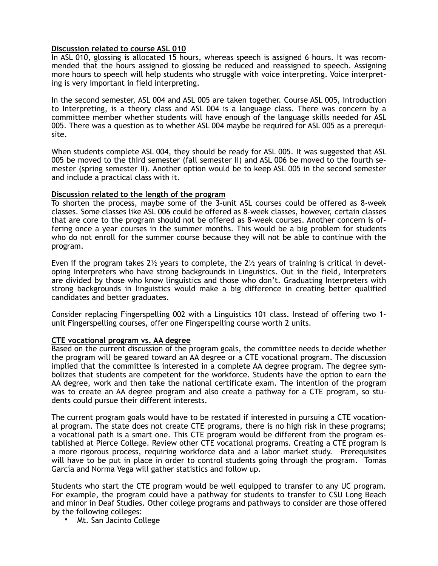#### **Discussion related to course ASL 010**

In ASL 010, glossing is allocated 15 hours, whereas speech is assigned 6 hours. It was recommended that the hours assigned to glossing be reduced and reassigned to speech. Assigning more hours to speech will help students who struggle with voice interpreting. Voice interpreting is very important in field interpreting.

In the second semester, ASL 004 and ASL 005 are taken together. Course ASL 005, Introduction to Interpreting, is a theory class and ASL 004 is a language class. There was concern by a committee member whether students will have enough of the language skills needed for ASL 005. There was a question as to whether ASL 004 maybe be required for ASL 005 as a prerequisite.

When students complete ASL 004, they should be ready for ASL 005. It was suggested that ASL 005 be moved to the third semester (fall semester II) and ASL 006 be moved to the fourth semester (spring semester II). Another option would be to keep ASL 005 in the second semester and include a practical class with it.

#### **Discussion related to the length of the program**

To shorten the process, maybe some of the 3-unit ASL courses could be offered as 8-week classes. Some classes like ASL 006 could be offered as 8-week classes, however, certain classes that are core to the program should not be offered as 8-week courses. Another concern is offering once a year courses in the summer months. This would be a big problem for students who do not enroll for the summer course because they will not be able to continue with the program.

Even if the program takes 2½ years to complete, the 2½ years of training is critical in developing Interpreters who have strong backgrounds in Linguistics. Out in the field, Interpreters are divided by those who know linguistics and those who don't. Graduating Interpreters with strong backgrounds in linguistics would make a big difference in creating better qualified candidates and better graduates.

Consider replacing Fingerspelling 002 with a Linguistics 101 class. Instead of offering two 1 unit Fingerspelling courses, offer one Fingerspelling course worth 2 units.

#### **CTE vocational program vs. AA degree**

Based on the current discussion of the program goals, the committee needs to decide whether the program will be geared toward an AA degree or a CTE vocational program. The discussion implied that the committee is interested in a complete AA degree program. The degree symbolizes that students are competent for the workforce. Students have the option to earn the AA degree, work and then take the national certificate exam. The intention of the program was to create an AA degree program and also create a pathway for a CTE program, so students could pursue their different interests.

The current program goals would have to be restated if interested in pursuing a CTE vocational program. The state does not create CTE programs, there is no high risk in these programs; a vocational path is a smart one. This CTE program would be different from the program established at Pierce College. Review other CTE vocational programs. Creating a CTE program is a more rigorous process, requiring workforce data and a labor market study. Prerequisites will have to be put in place in order to control students going through the program. Tomás García and Norma Vega will gather statistics and follow up.

Students who start the CTE program would be well equipped to transfer to any UC program. For example, the program could have a pathway for students to transfer to CSU Long Beach and minor in Deaf Studies. Other college programs and pathways to consider are those offered by the following colleges:

• Mt. San Jacinto College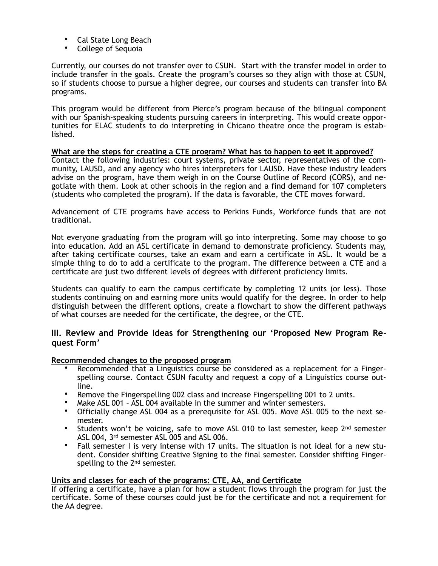- Cal State Long Beach<br>• College of Sequoja
- College of Sequoia

Currently, our courses do not transfer over to CSUN. Start with the transfer model in order to include transfer in the goals. Create the program's courses so they align with those at CSUN, so if students choose to pursue a higher degree, our courses and students can transfer into BA programs.

This program would be different from Pierce's program because of the bilingual component with our Spanish-speaking students pursuing careers in interpreting. This would create opportunities for ELAC students to do interpreting in Chicano theatre once the program is established.

#### **What are the steps for creating a CTE program? What has to happen to get it approved?**  Contact the following industries: court systems, private sector, representatives of the community, LAUSD, and any agency who hires interpreters for LAUSD. Have these industry leaders advise on the program, have them weigh in on the Course Outline of Record (CORS), and negotiate with them. Look at other schools in the region and a find demand for 107 completers (students who completed the program). If the data is favorable, the CTE moves forward.

Advancement of CTE programs have access to Perkins Funds, Workforce funds that are not traditional.

Not everyone graduating from the program will go into interpreting. Some may choose to go into education. Add an ASL certificate in demand to demonstrate proficiency. Students may, after taking certificate courses, take an exam and earn a certificate in ASL. It would be a simple thing to do to add a certificate to the program. The difference between a CTE and a certificate are just two different levels of degrees with different proficiency limits.

Students can qualify to earn the campus certificate by completing 12 units (or less). Those students continuing on and earning more units would qualify for the degree. In order to help distinguish between the different options, create a flowchart to show the different pathways of what courses are needed for the certificate, the degree, or the CTE.

# **III. Review and Provide Ideas for Strengthening our 'Proposed New Program Request Form'**

#### **Recommended changes to the proposed program**

- Recommended that a Linguistics course be considered as a replacement for a Fingerspelling course. Contact CSUN faculty and request a copy of a Linguistics course outline.
- Remove the Fingerspelling 002 class and increase Fingerspelling 001 to 2 units.
- Make ASL 001 ASL 004 available in the summer and winter semesters.
- Officially change ASL 004 as a prerequisite for ASL 005. Move ASL 005 to the next semester.
- Students won't be voicing, safe to move ASL 010 to last semester, keep  $2^{nd}$  semester ASL 004, 3rd semester ASL 005 and ASL 006.
- Fall semester I is very intense with 17 units. The situation is not ideal for a new student. Consider shifting Creative Signing to the final semester. Consider shifting Fingerspelling to the 2<sup>nd</sup> semester.

# **Units and classes for each of the programs: CTE, AA, and Certificate**

If offering a certificate, have a plan for how a student flows through the program for just the certificate. Some of these courses could just be for the certificate and not a requirement for the AA degree.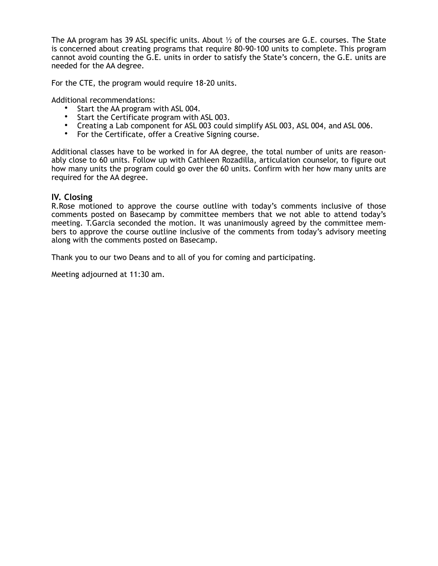The AA program has 39 ASL specific units. About  $\frac{1}{2}$  of the courses are G.E. courses. The State is concerned about creating programs that require 80-90-100 units to complete. This program cannot avoid counting the G.E. units in order to satisfy the State's concern, the G.E. units are needed for the AA degree.

For the CTE, the program would require 18-20 units.

Additional recommendations:

- Start the AA program with ASL 004.
- Start the Certificate program with ASL 003.
- Creating a Lab component for ASL 003 could simplify ASL 003, ASL 004, and ASL 006.
- For the Certificate, offer a Creative Signing course.

Additional classes have to be worked in for AA degree, the total number of units are reasonably close to 60 units. Follow up with Cathleen Rozadilla, articulation counselor, to figure out how many units the program could go over the 60 units. Confirm with her how many units are required for the AA degree.

#### **IV. Closing**

R.Rose motioned to approve the course outline with today's comments inclusive of those comments posted on Basecamp by committee members that we not able to attend today's meeting. T.Garcia seconded the motion. It was unanimously agreed by the committee members to approve the course outline inclusive of the comments from today's advisory meeting along with the comments posted on Basecamp.

Thank you to our two Deans and to all of you for coming and participating.

Meeting adjourned at 11:30 am.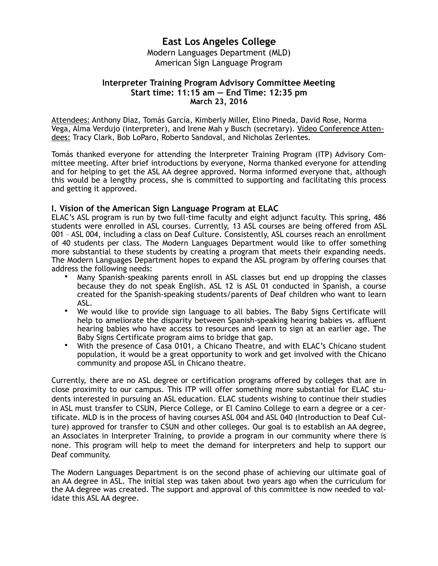# **East Los Angeles College**

Modern Languages Department (MLD) American Sign Language Program

#### **Interpreter Training Program Advisory Committee Meeting Start time: 11:15 am ― End Time: 12:35 pm March 23, 2016**

Attendees: Anthony Diaz, Tomás García, Kimberly Miller, Elino Pineda, David Rose, Norma Vega, Alma Verdujo (interpreter), and Irene Mah y Busch (secretary). Video Conference Attendees: Tracy Clark, Bob LoParo, Roberto Sandoval, and Nicholas Zerlentes.

Tomás thanked everyone for attending the Interpreter Training Program (ITP) Advisory Committee meeting. After brief introductions by everyone, Norma thanked everyone for attending and for helping to get the ASL AA degree approved. Norma informed everyone that, although this would be a lengthy process, she is committed to supporting and facilitating this process and getting it approved.

# **I. Vision of the American Sign Language Program at ELAC**

ELAC's ASL program is run by two full-time faculty and eight adjunct faculty. This spring, 486 students were enrolled in ASL courses. Currently, 13 ASL courses are being offered from ASL 001 – ASL 004, including a class on Deaf Culture. Consistently, ASL courses reach an enrollment of 40 students per class. The Modern Languages Department would like to offer something more substantial to these students by creating a program that meets their expanding needs. The Modern Languages Department hopes to expand the ASL program by offering courses that address the following needs:

- Many Spanish-speaking parents enroll in ASL classes but end up dropping the classes because they do not speak English. ASL 12 is ASL 01 conducted in Spanish, a course created for the Spanish-speaking students/parents of Deaf children who want to learn ASL.
- We would like to provide sign language to all babies. The Baby Signs Certificate will help to ameliorate the disparity between Spanish-speaking hearing babies vs. affluent hearing babies who have access to resources and learn to sign at an earlier age. The Baby Signs Certificate program aims to bridge that gap.
- With the presence of Casa 0101, a Chicano Theatre, and with ELAC's Chicano student population, it would be a great opportunity to work and get involved with the Chicano community and propose ASL in Chicano theatre.

Currently, there are no ASL degree or certification programs offered by colleges that are in close proximity to our campus. This ITP will offer something more substantial for ELAC students interested in pursuing an ASL education. ELAC students wishing to continue their studies in ASL must transfer to CSUN, Pierce College, or El Camino College to earn a degree or a certificate. MLD is in the process of having courses ASL 004 and ASL 040 (Introduction to Deaf Culture) approved for transfer to CSUN and other colleges. Our goal is to establish an AA degree, an Associates in Interpreter Training, to provide a program in our community where there is none. This program will help to meet the demand for interpreters and help to support our Deaf community.

The Modern Languages Department is on the second phase of achieving our ultimate goal of an AA degree in ASL. The initial step was taken about two years ago when the curriculum for the AA degree was created. The support and approval of this committee is now needed to validate this ASL AA degree.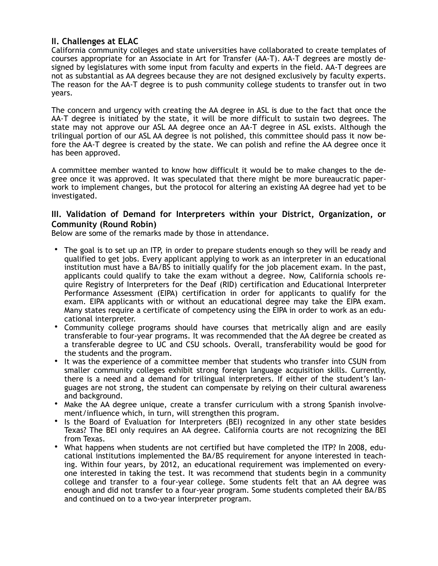# **II. Challenges at ELAC**

California community colleges and state universities have collaborated to create templates of courses appropriate for an Associate in Art for Transfer (AA-T). AA-T degrees are mostly designed by legislatures with some input from faculty and experts in the field. AA-T degrees are not as substantial as AA degrees because they are not designed exclusively by faculty experts. The reason for the AA-T degree is to push community college students to transfer out in two years.

The concern and urgency with creating the AA degree in ASL is due to the fact that once the AA-T degree is initiated by the state, it will be more difficult to sustain two degrees. The state may not approve our ASL AA degree once an AA-T degree in ASL exists. Although the trilingual portion of our ASL AA degree is not polished, this committee should pass it now before the AA-T degree is created by the state. We can polish and refine the AA degree once it has been approved.

A committee member wanted to know how difficult it would be to make changes to the degree once it was approved. It was speculated that there might be more bureaucratic paperwork to implement changes, but the protocol for altering an existing AA degree had yet to be investigated.

# **III. Validation of Demand for Interpreters within your District, Organization, or Community (Round Robin)**

Below are some of the remarks made by those in attendance.

- The goal is to set up an ITP, in order to prepare students enough so they will be ready and qualified to get jobs. Every applicant applying to work as an interpreter in an educational institution must have a BA/BS to initially qualify for the job placement exam. In the past, applicants could qualify to take the exam without a degree. Now, California schools require Registry of Interpreters for the Deaf (RID) certification and Educational Interpreter Performance Assessment (EIPA) certification in order for applicants to qualify for the exam. EIPA applicants with or without an educational degree may take the EIPA exam. Many states require a certificate of competency using the EIPA in order to work as an educational interpreter.
- Community college programs should have courses that metrically align and are easily transferable to four-year programs. It was recommended that the AA degree be created as a transferable degree to UC and CSU schools. Overall, transferability would be good for the students and the program.
- It was the experience of a committee member that students who transfer into CSUN from smaller community colleges exhibit strong foreign language acquisition skills. Currently, there is a need and a demand for trilingual interpreters. If either of the student's languages are not strong, the student can compensate by relying on their cultural awareness and background.
- Make the AA degree unique, create a transfer curriculum with a strong Spanish involvement/influence which, in turn, will strengthen this program.
- Is the Board of Evaluation for Interpreters (BEI) recognized in any other state besides Texas? The BEI only requires an AA degree. California courts are not recognizing the BEI from Texas.
- What happens when students are not certified but have completed the ITP? In 2008, educational institutions implemented the BA/BS requirement for anyone interested in teaching. Within four years, by 2012, an educational requirement was implemented on everyone interested in taking the test. It was recommend that students begin in a community college and transfer to a four-year college. Some students felt that an AA degree was enough and did not transfer to a four-year program. Some students completed their BA/BS and continued on to a two-year interpreter program.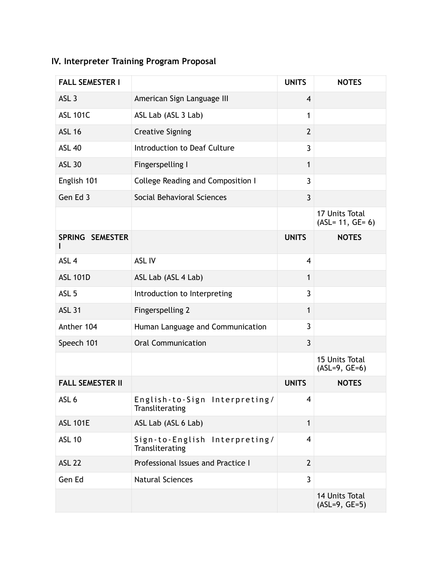# **IV. Interpreter Training Program Proposal**

| <b>FALL SEMESTER I</b>  |                                                  | <b>UNITS</b>            | <b>NOTES</b>                           |
|-------------------------|--------------------------------------------------|-------------------------|----------------------------------------|
| ASL <sub>3</sub>        | American Sign Language III                       | 4                       |                                        |
| <b>ASL 101C</b>         | ASL Lab (ASL 3 Lab)                              | $\mathbf{1}$            |                                        |
| <b>ASL 16</b>           | <b>Creative Signing</b>                          | $\overline{2}$          |                                        |
| <b>ASL 40</b>           | Introduction to Deaf Culture                     | $\overline{3}$          |                                        |
| <b>ASL 30</b>           | <b>Fingerspelling I</b>                          | $\mathbf{1}$            |                                        |
| English 101             | <b>College Reading and Composition I</b>         | 3                       |                                        |
| Gen Ed 3                | Social Behavioral Sciences                       | 3                       |                                        |
|                         |                                                  |                         | 17 Units Total<br>$(ASL = 11, GE = 6)$ |
| SPRING SEMESTER         |                                                  | <b>UNITS</b>            | <b>NOTES</b>                           |
| ASL <sub>4</sub>        | <b>ASL IV</b>                                    | $\overline{\mathbf{4}}$ |                                        |
| <b>ASL 101D</b>         | ASL Lab (ASL 4 Lab)                              | $\mathbf{1}$            |                                        |
| ASL <sub>5</sub>        | Introduction to Interpreting                     | $\overline{3}$          |                                        |
| <b>ASL 31</b>           | <b>Fingerspelling 2</b>                          | $\mathbf{1}$            |                                        |
| Anther 104              | Human Language and Communication                 | 3                       |                                        |
| Speech 101              | <b>Oral Communication</b>                        | 3                       |                                        |
|                         |                                                  |                         | 15 Units Total<br>$(ASL=9, GE=6)$      |
| <b>FALL SEMESTER II</b> |                                                  | <b>UNITS</b>            | <b>NOTES</b>                           |
| ASL <sub>6</sub>        | English-to-Sign Interpreting/<br>Transliterating | 4                       |                                        |
| <b>ASL 101E</b>         | ASL Lab (ASL 6 Lab)                              | $\mathbf{1}$            |                                        |
| <b>ASL 10</b>           | Sign-to-English Interpreting/<br>Transliterating | $\overline{4}$          |                                        |
| <b>ASL 22</b>           | Professional Issues and Practice I               | $\overline{2}$          |                                        |
| Gen Ed                  | <b>Natural Sciences</b>                          | $\overline{3}$          |                                        |
|                         |                                                  |                         | 14 Units Total<br>$(ASL=9, GE=5)$      |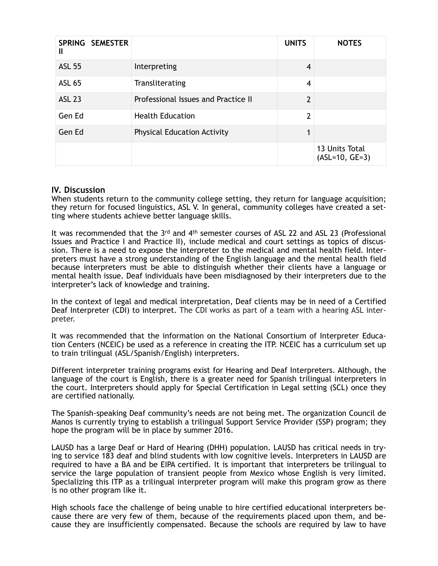| SPRING SEMESTER<br>Ш |                                     | <b>UNITS</b> | <b>NOTES</b>                       |
|----------------------|-------------------------------------|--------------|------------------------------------|
| <b>ASL 55</b>        | Interpreting                        | 4            |                                    |
| <b>ASL 65</b>        | Transliterating                     | 4            |                                    |
| <b>ASL 23</b>        | Professional Issues and Practice II | 2            |                                    |
| Gen Ed               | <b>Health Education</b>             | 2            |                                    |
| Gen Ed               | <b>Physical Education Activity</b>  | 1            |                                    |
|                      |                                     |              | 13 Units Total<br>$(ASL=10, GE=3)$ |

#### **IV. Discussion**

When students return to the community college setting, they return for language acquisition; they return for focused linguistics, ASL V. In general, community colleges have created a setting where students achieve better language skills.

It was recommended that the  $3<sup>rd</sup>$  and  $4<sup>th</sup>$  semester courses of ASL 22 and ASL 23 (Professional Issues and Practice I and Practice II), include medical and court settings as topics of discussion. There is a need to expose the interpreter to the medical and mental health field. Interpreters must have a strong understanding of the English language and the mental health field because interpreters must be able to distinguish whether their clients have a language or mental health issue. Deaf individuals have been misdiagnosed by their interpreters due to the interpreter's lack of knowledge and training.

In the context of legal and medical interpretation, Deaf clients may be in need of a Certified Deaf Interpreter (CDI) to interpret. The CDI works as part of a team with a hearing ASL interpreter.

It was recommended that the information on the National Consortium of Interpreter Education Centers (NCEIC) be used as a reference in creating the ITP. NCEIC has a curriculum set up to train trilingual (ASL/Spanish/English) interpreters.

Different interpreter training programs exist for Hearing and Deaf Interpreters. Although, the language of the court is English, there is a greater need for Spanish trilingual interpreters in the court. Interpreters should apply for Special Certification in Legal setting (SCL) once they are certified nationally.

The Spanish-speaking Deaf community's needs are not being met. The organization Council de Manos is currently trying to establish a trilingual Support Service Provider (SSP) program; they hope the program will be in place by summer 2016.

LAUSD has a large Deaf or Hard of Hearing (DHH) population. LAUSD has critical needs in trying to service 183 deaf and blind students with low cognitive levels. Interpreters in LAUSD are required to have a BA and be EIPA certified. It is important that interpreters be trilingual to service the large population of transient people from Mexico whose English is very limited. Specializing this ITP as a trilingual interpreter program will make this program grow as there is no other program like it.

High schools face the challenge of being unable to hire certified educational interpreters because there are very few of them, because of the requirements placed upon them, and because they are insufficiently compensated. Because the schools are required by law to have